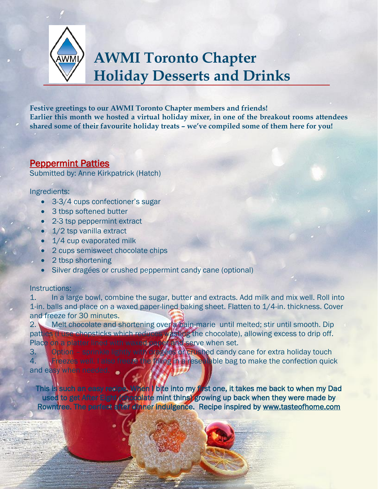

# **AWMI Toronto Chapter Holiday Desserts and Drinks**

**Festive greetings to our AWMI Toronto Chapter members and friends! Earlier this month we hosted a virtual holiday mixer, in one of the breakout rooms attendees shared some of their favourite holiday treats – we've compiled some of them here for you!** 

# Peppermint Patties

Submitted by: Anne Kirkpatrick (Hatch)

# Ingredients:

- 3-3/4 cups confectioner's sugar
- 3 tbsp softened butter
- 2-3 tsp peppermint extract
- 1/2 tsp vanilla extract
- 1/4 cup evaporated milk
- 2 cups semisweet chocolate chips
- 2 tbsp shortening
- Silver dragées or crushed peppermint candy cane (optional)

# Instructions:

i. Į ë

1. In a large bowl, combine the sugar, butter and extracts. Add milk and mix well. Roll into 1-in. balls and place on a waxed paper-lined baking sheet. Flatten to 1/4-in. thickness. Cover and freeze for 30 minutes.

2. Melt chocolate and shortening over a bain-marie until melted; stir until smooth. Dip patties (Fuse chopsticks which reduces wasting the chocolate), allowing excess to drip off. Place on a platter lined with waxed paper and serve when set.

3. Option – sprinkle lightly with dragées or crushed candy cane for extra holiday touch 4. **KFreezes well. I also freeze the filling in a resealable bag to make the confection quick** and easy when needed.

This is such an easy recipe. When I bite into my first one, it takes me back to when my Dad used to get After Eight (chocolate mint thins) growing up back when they were made by Rowntree. The perfect after dinner indulgence. Recipe inspired by www.tasteofhome.com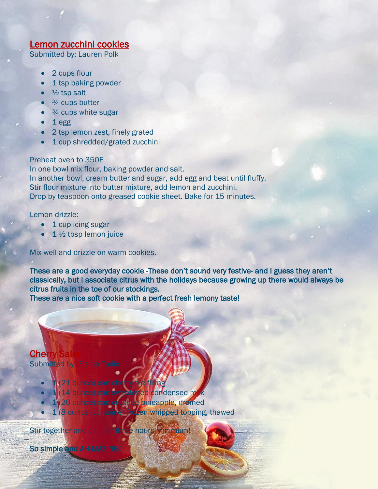# Lemon zucchini cookies

Submitted by: Lauren Polk

- 2 cups flour
- 1 tsp baking powder
- $\frac{1}{2}$  tsp salt
- $\frac{3}{4}$  cups butter
- $3/4$  cups white sugar
- 1 egg
- 2 tsp lemon zest, finely grated
- 1 cup shredded/grated zucchini

# Preheat oven to 350F

In one bowl mix flour, baking powder and salt. In another bowl, cream butter and sugar, add egg and beat until fluffy. Stir flour mixture into butter mixture, add lemon and zucchini. Drop by teaspoon onto greased cookie sheet. Bake for 15 minutes.

### Lemon drizzle:

- 1 cup icing sugar
- $1\frac{1}{2}$  tbsp lemon juice

### Mix well and drizzle on warm cookies.

These are a good everyday cookie -These don't sound very festive- and I guess they aren't classically, but I associate citrus with the holidays because growing up there would always be citrus fruits in the toe of our stockings.

These are a nice soft cookie with a perfect fresh lemony taste!

# **Cher** Submitted by: Elaine Tadic

- - 1 (21 ounce) can cherry pie filing (14 ounce) can sweetened condensed milk
	- 1 (20 ounce) can crushed pineapple, drained
	- $-1$  (8 ounce) container frozen whipped topping, thawed

Stir together and chill for three hours minimum!

So simple and AH-MAZING!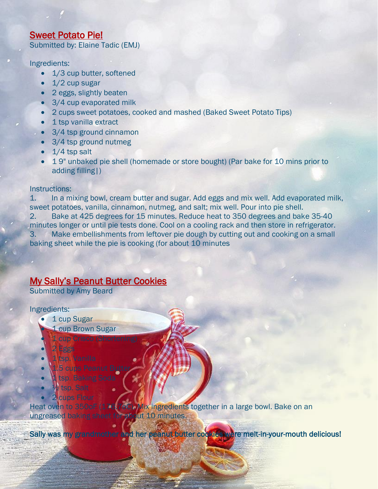# Sweet Potato Pie!

Submitted by: Elaine Tadic (EMJ)

### Ingredients:

- 1/3 cup butter, softened
- $1/2$  cup sugar
- 2 eggs, slightly beaten
- 3/4 cup evaporated milk
- 2 cups sweet potatoes, cooked and mashed (Baked Sweet Potato Tips)
- 1 tsp vanilla extract
- 3/4 tsp ground cinnamon
- 3/4 tsp ground nutmeg
- $\bullet$  1/4 tsp salt
- 1 9" unbaked pie shell (homemade or store bought) (Par bake for 10 mins prior to adding filling|)

### Instructions:

1. In a mixing bowl, cream butter and sugar. Add eggs and mix well. Add evaporated milk, sweet potatoes, vanilla, cinnamon, nutmeg, and salt; mix well. Pour into pie shell. 2. Bake at 425 degrees for 15 minutes. Reduce heat to 350 degrees and bake 35-40 minutes longer or until pie tests done. Cool on a cooling rack and then store in refrigerator. 3. Make embellishments from leftover pie dough by cutting out and cooking on a small baking sheet while the pie is cooking (for about 10 minutes

# My Sally's Peanut Butter Cookies

Submitted by Amy Beard

#### Ingredients:

- 1 cup Sugar
	- 1 cup Brown Sugar
- 1 cup Crisco (Shortenin 2 Eggs
- 1 tsp. Vanilla
- 1.5 cups Peanut Butte
- tsp. Baking Soda
- $\lambda$  tsp. Salt
- 2 cups Flour

Heat oven to 350oF (176.7oC). Mix ingredients together in a large bowl. Bake on an ungreased baking sheet for about 10 minutes.

Sally was my grandmother and her peanut butter cookies were melt-in-your-mouth delicious! Į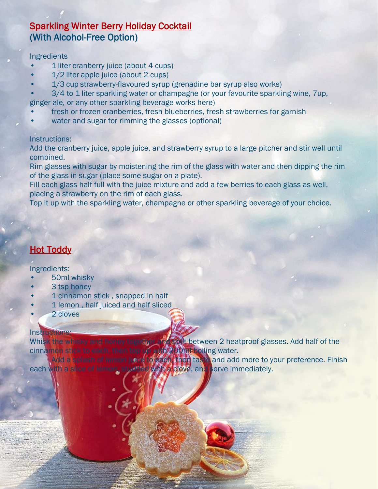# Sparkling Winter Berry Holiday Cocktail (With Alcohol-Free Option)

### Ingredients

- 1 liter cranberry juice (about 4 cups)
- 1/2 liter apple juice (about 2 cups)
- 1/3 cup strawberry-flavoured syrup (grenadine bar syrup also works)
- 3/4 to 1 liter sparkling water or champagne (or your favourite sparkling wine, 7up, ginger ale, or any other sparkling beverage works here)
- fresh or frozen cranberries, fresh blueberries, fresh strawberries for garnish
- water and sugar for rimming the glasses (optional)

### Instructions:

Add the cranberry juice, apple juice, and strawberry syrup to a large pitcher and stir well until combined.

Rim glasses with sugar by moistening the rim of the glass with water and then dipping the rim of the glass in sugar (place some sugar on a plate).

Fill each glass half full with the juice mixture and add a few berries to each glass as well, placing a strawberry on the rim of each glass.

Top it up with the sparkling water, champagne or other sparkling beverage of your choice.

# **Hot Toddy**

### Ingredients:

- 50ml whisky
- 3 tsp honey
- 1 cinnamon stick , snapped in half
- 1 lemon, half juiced and half sliced
- 2 cloves

# Instructions:

Whisk the whisky and honey together and split between 2 heatproof glasses. Add half of the cinnamon stick to each, then top up with 200ml boiling water. Add a splash of lemon juice to each, then taste and add more to your preference. Finish

each with a slice of lemon, studded with a clove, and serve immediately.